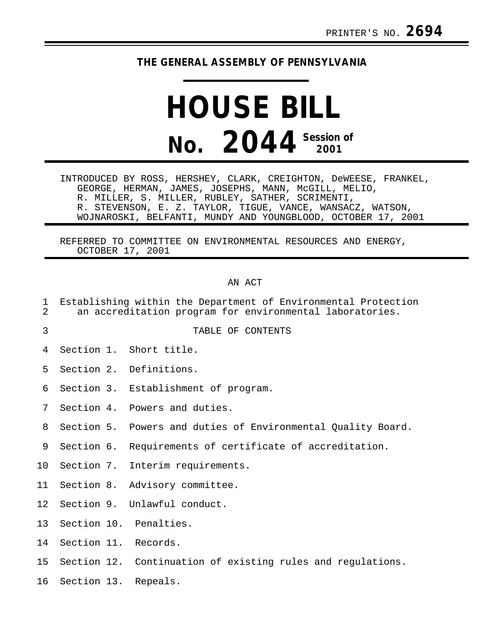## **THE GENERAL ASSEMBLY OF PENNSYLVANIA**

## **HOUSE BILL No. 2044 Session of 2001**

INTRODUCED BY ROSS, HERSHEY, CLARK, CREIGHTON, DeWEESE, FRANKEL, GEORGE, HERMAN, JAMES, JOSEPHS, MANN, McGILL, MELIO, R. MILLER, S. MILLER, RUBLEY, SATHER, SCRIMENTI, R. STEVENSON, E. Z. TAYLOR, TIGUE, VANCE, WANSACZ, WATSON, WOJNAROSKI, BELFANTI, MUNDY AND YOUNGBLOOD, OCTOBER 17, 2001

REFERRED TO COMMITTEE ON ENVIRONMENTAL RESOURCES AND ENERGY, OCTOBER 17, 2001

## AN ACT

- 1 Establishing within the Department of Environmental Protection 2 an accreditation program for environmental laboratories.
- 
- 3 TABLE OF CONTENTS
- 4 Section 1. Short title.
- 5 Section 2. Definitions.
- 6 Section 3. Establishment of program.
- 7 Section 4. Powers and duties.
- 8 Section 5. Powers and duties of Environmental Quality Board.
- 9 Section 6. Requirements of certificate of accreditation.
- 10 Section 7. Interim requirements.
- 11 Section 8. Advisory committee.
- 12 Section 9. Unlawful conduct.
- 13 Section 10. Penalties.
- 14 Section 11. Records.
- 15 Section 12. Continuation of existing rules and regulations.
- 16 Section 13. Repeals.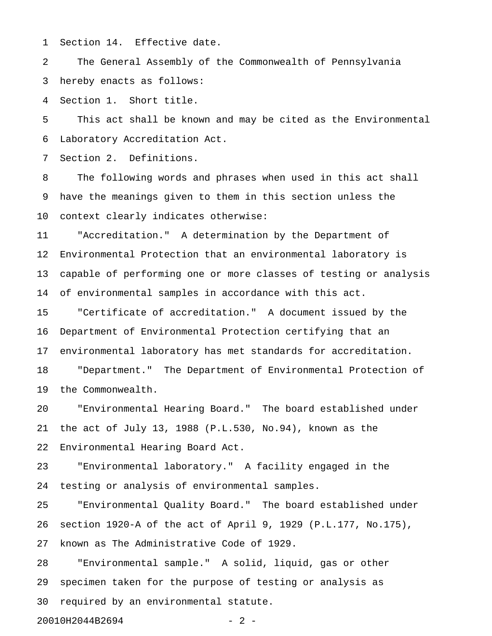1 Section 14. Effective date.

2 The General Assembly of the Commonwealth of Pennsylvania 3 hereby enacts as follows:

4 Section 1. Short title.

5 This act shall be known and may be cited as the Environmental 6 Laboratory Accreditation Act.

7 Section 2. Definitions.

8 The following words and phrases when used in this act shall 9 have the meanings given to them in this section unless the 10 context clearly indicates otherwise:

11 "Accreditation." A determination by the Department of 12 Environmental Protection that an environmental laboratory is 13 capable of performing one or more classes of testing or analysis 14 of environmental samples in accordance with this act.

15 "Certificate of accreditation." A document issued by the 16 Department of Environmental Protection certifying that an 17 environmental laboratory has met standards for accreditation. 18 "Department." The Department of Environmental Protection of

19 the Commonwealth.

20 "Environmental Hearing Board." The board established under 21 the act of July 13, 1988 (P.L.530, No.94), known as the 22 Environmental Hearing Board Act.

23 "Environmental laboratory." A facility engaged in the 24 testing or analysis of environmental samples.

25 "Environmental Quality Board." The board established under 26 section 1920-A of the act of April 9, 1929 (P.L.177, No.175), 27 known as The Administrative Code of 1929.

28 "Environmental sample." A solid, liquid, gas or other 29 specimen taken for the purpose of testing or analysis as 30 required by an environmental statute.

20010H2044B2694 - 2 -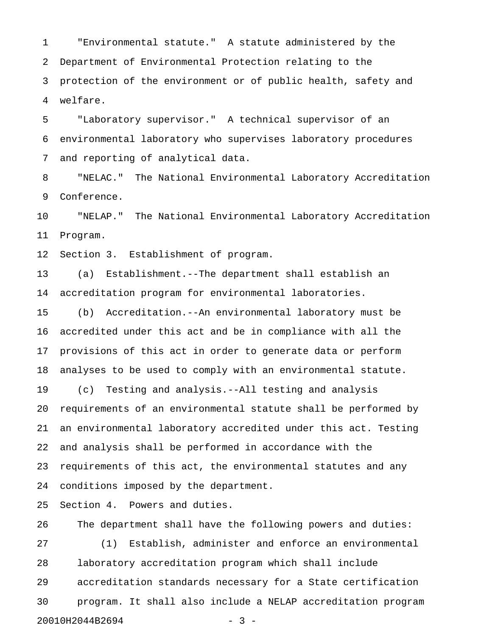1 "Environmental statute." A statute administered by the 2 Department of Environmental Protection relating to the 3 protection of the environment or of public health, safety and 4 welfare.

5 "Laboratory supervisor." A technical supervisor of an 6 environmental laboratory who supervises laboratory procedures 7 and reporting of analytical data.

8 "NELAC." The National Environmental Laboratory Accreditation 9 Conference.

10 "NELAP." The National Environmental Laboratory Accreditation 11 Program.

12 Section 3. Establishment of program.

13 (a) Establishment.--The department shall establish an 14 accreditation program for environmental laboratories.

15 (b) Accreditation.--An environmental laboratory must be 16 accredited under this act and be in compliance with all the 17 provisions of this act in order to generate data or perform 18 analyses to be used to comply with an environmental statute.

19 (c) Testing and analysis.--All testing and analysis 20 requirements of an environmental statute shall be performed by 21 an environmental laboratory accredited under this act. Testing 22 and analysis shall be performed in accordance with the 23 requirements of this act, the environmental statutes and any 24 conditions imposed by the department.

25 Section 4. Powers and duties.

26 The department shall have the following powers and duties: 27 (1) Establish, administer and enforce an environmental 28 laboratory accreditation program which shall include 29 accreditation standards necessary for a State certification 30 program. It shall also include a NELAP accreditation program 20010H2044B2694 - 3 -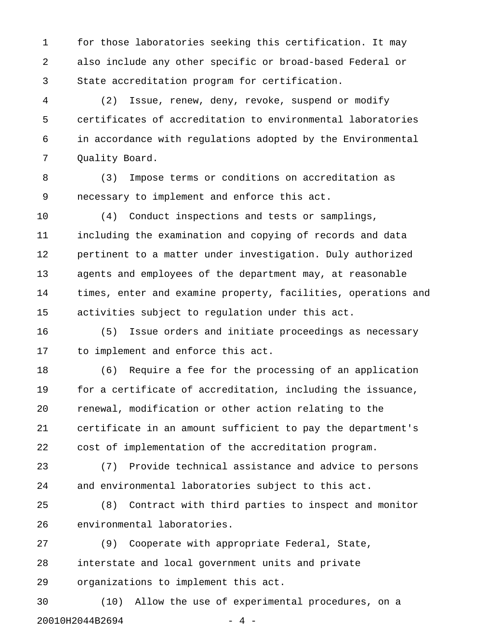1 for those laboratories seeking this certification. It may 2 also include any other specific or broad-based Federal or 3 State accreditation program for certification.

4 (2) Issue, renew, deny, revoke, suspend or modify 5 certificates of accreditation to environmental laboratories 6 in accordance with regulations adopted by the Environmental 7 Quality Board.

8 (3) Impose terms or conditions on accreditation as 9 necessary to implement and enforce this act.

10 (4) Conduct inspections and tests or samplings, 11 including the examination and copying of records and data 12 pertinent to a matter under investigation. Duly authorized 13 agents and employees of the department may, at reasonable 14 times, enter and examine property, facilities, operations and 15 activities subject to regulation under this act.

16 (5) Issue orders and initiate proceedings as necessary 17 to implement and enforce this act.

18 (6) Require a fee for the processing of an application 19 for a certificate of accreditation, including the issuance, 20 renewal, modification or other action relating to the 21 certificate in an amount sufficient to pay the department's 22 cost of implementation of the accreditation program.

23 (7) Provide technical assistance and advice to persons 24 and environmental laboratories subject to this act.

25 (8) Contract with third parties to inspect and monitor 26 environmental laboratories.

27 (9) Cooperate with appropriate Federal, State, 28 interstate and local government units and private 29 organizations to implement this act.

30 (10) Allow the use of experimental procedures, on a 20010H2044B2694 - 20010H204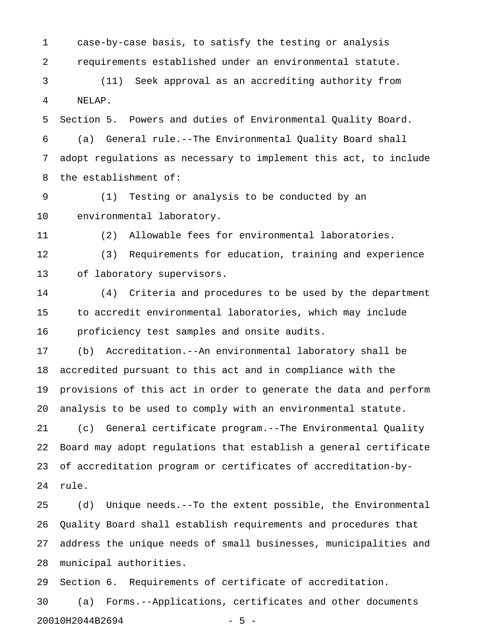1 case-by-case basis, to satisfy the testing or analysis 2 requirements established under an environmental statute.

3 (11) Seek approval as an accrediting authority from 4 NELAP.

5 Section 5. Powers and duties of Environmental Quality Board. 6 (a) General rule.--The Environmental Quality Board shall 7 adopt regulations as necessary to implement this act, to include 8 the establishment of:

9 (1) Testing or analysis to be conducted by an 10 environmental laboratory.

11 (2) Allowable fees for environmental laboratories.

12 (3) Requirements for education, training and experience 13 of laboratory supervisors.

14 (4) Criteria and procedures to be used by the department 15 to accredit environmental laboratories, which may include 16 proficiency test samples and onsite audits.

17 (b) Accreditation.--An environmental laboratory shall be 18 accredited pursuant to this act and in compliance with the 19 provisions of this act in order to generate the data and perform 20 analysis to be used to comply with an environmental statute.

21 (c) General certificate program.--The Environmental Quality 22 Board may adopt regulations that establish a general certificate 23 of accreditation program or certificates of accreditation-by-24 rule.

25 (d) Unique needs.--To the extent possible, the Environmental 26 Quality Board shall establish requirements and procedures that 27 address the unique needs of small businesses, municipalities and 28 municipal authorities.

29 Section 6. Requirements of certificate of accreditation.

30 (a) Forms.--Applications, certificates and other documents 20010H2044B2694 - 5 -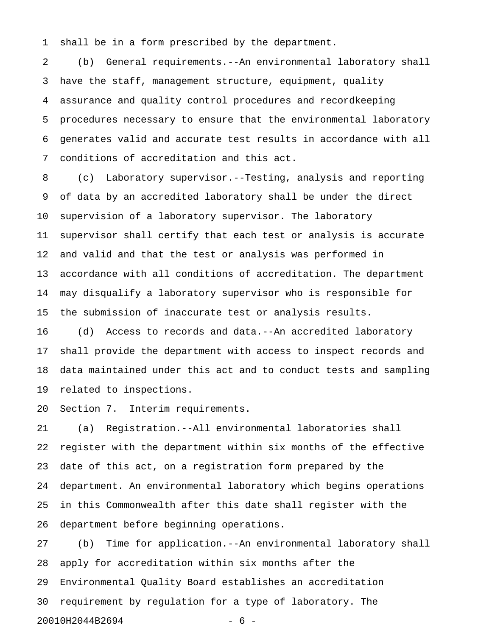1 shall be in a form prescribed by the department.

2 (b) General requirements.--An environmental laboratory shall 3 have the staff, management structure, equipment, quality 4 assurance and quality control procedures and recordkeeping 5 procedures necessary to ensure that the environmental laboratory 6 generates valid and accurate test results in accordance with all 7 conditions of accreditation and this act.

8 (c) Laboratory supervisor.--Testing, analysis and reporting 9 of data by an accredited laboratory shall be under the direct 10 supervision of a laboratory supervisor. The laboratory 11 supervisor shall certify that each test or analysis is accurate 12 and valid and that the test or analysis was performed in 13 accordance with all conditions of accreditation. The department 14 may disqualify a laboratory supervisor who is responsible for 15 the submission of inaccurate test or analysis results.

16 (d) Access to records and data.--An accredited laboratory 17 shall provide the department with access to inspect records and 18 data maintained under this act and to conduct tests and sampling 19 related to inspections.

20 Section 7. Interim requirements.

21 (a) Registration.--All environmental laboratories shall 22 register with the department within six months of the effective 23 date of this act, on a registration form prepared by the 24 department. An environmental laboratory which begins operations 25 in this Commonwealth after this date shall register with the 26 department before beginning operations.

27 (b) Time for application.--An environmental laboratory shall 28 apply for accreditation within six months after the 29 Environmental Quality Board establishes an accreditation 30 requirement by regulation for a type of laboratory. The 20010H2044B2694 - 6 -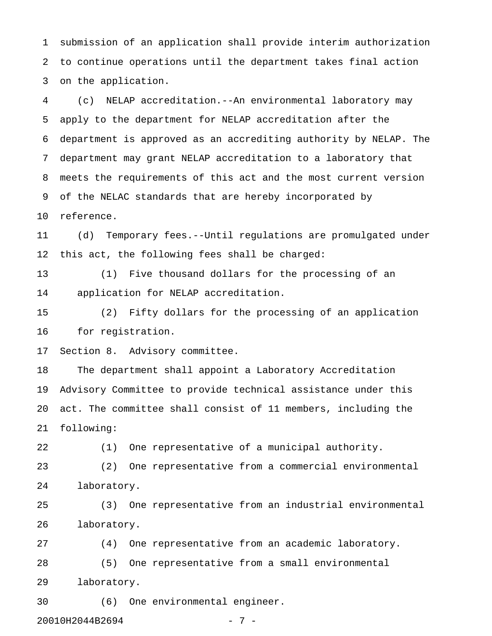1 submission of an application shall provide interim authorization 2 to continue operations until the department takes final action 3 on the application.

4 (c) NELAP accreditation.--An environmental laboratory may 5 apply to the department for NELAP accreditation after the 6 department is approved as an accrediting authority by NELAP. The 7 department may grant NELAP accreditation to a laboratory that 8 meets the requirements of this act and the most current version 9 of the NELAC standards that are hereby incorporated by

10 reference.

11 (d) Temporary fees.--Until regulations are promulgated under 12 this act, the following fees shall be charged:

13 (1) Five thousand dollars for the processing of an 14 application for NELAP accreditation.

15 (2) Fifty dollars for the processing of an application 16 for registration.

17 Section 8. Advisory committee.

18 The department shall appoint a Laboratory Accreditation 19 Advisory Committee to provide technical assistance under this 20 act. The committee shall consist of 11 members, including the 21 following:

22 (1) One representative of a municipal authority.

23 (2) One representative from a commercial environmental 24 laboratory.

25 (3) One representative from an industrial environmental 26 laboratory.

27 (4) One representative from an academic laboratory. 28 (5) One representative from a small environmental 29 laboratory.

30 (6) One environmental engineer.

20010H2044B2694 - 7 -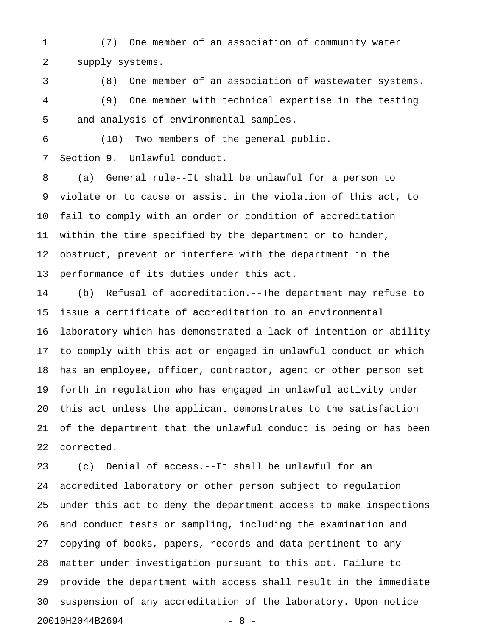1 (7) One member of an association of community water 2 supply systems.

3 (8) One member of an association of wastewater systems. 4 (9) One member with technical expertise in the testing 5 and analysis of environmental samples.

6 (10) Two members of the general public.

7 Section 9. Unlawful conduct.

8 (a) General rule--It shall be unlawful for a person to 9 violate or to cause or assist in the violation of this act, to 10 fail to comply with an order or condition of accreditation 11 within the time specified by the department or to hinder, 12 obstruct, prevent or interfere with the department in the 13 performance of its duties under this act.

14 (b) Refusal of accreditation.--The department may refuse to 15 issue a certificate of accreditation to an environmental 16 laboratory which has demonstrated a lack of intention or ability 17 to comply with this act or engaged in unlawful conduct or which 18 has an employee, officer, contractor, agent or other person set 19 forth in regulation who has engaged in unlawful activity under 20 this act unless the applicant demonstrates to the satisfaction 21 of the department that the unlawful conduct is being or has been 22 corrected.

23 (c) Denial of access.--It shall be unlawful for an 24 accredited laboratory or other person subject to regulation 25 under this act to deny the department access to make inspections 26 and conduct tests or sampling, including the examination and 27 copying of books, papers, records and data pertinent to any 28 matter under investigation pursuant to this act. Failure to 29 provide the department with access shall result in the immediate 30 suspension of any accreditation of the laboratory. Upon notice 20010H2044B2694 - 8 -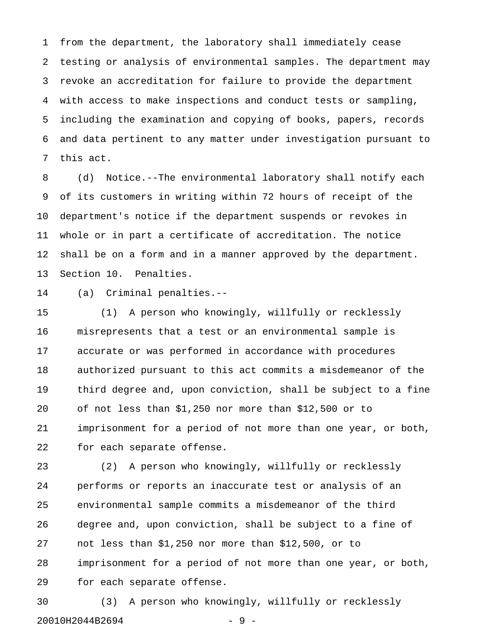1 from the department, the laboratory shall immediately cease 2 testing or analysis of environmental samples. The department may 3 revoke an accreditation for failure to provide the department 4 with access to make inspections and conduct tests or sampling, 5 including the examination and copying of books, papers, records 6 and data pertinent to any matter under investigation pursuant to 7 this act.

8 (d) Notice.--The environmental laboratory shall notify each 9 of its customers in writing within 72 hours of receipt of the 10 department's notice if the department suspends or revokes in 11 whole or in part a certificate of accreditation. The notice 12 shall be on a form and in a manner approved by the department. 13 Section 10. Penalties.

14 (a) Criminal penalties.--

15 (1) A person who knowingly, willfully or recklessly 16 misrepresents that a test or an environmental sample is 17 accurate or was performed in accordance with procedures 18 authorized pursuant to this act commits a misdemeanor of the 19 third degree and, upon conviction, shall be subject to a fine 20 of not less than \$1,250 nor more than \$12,500 or to 21 imprisonment for a period of not more than one year, or both, 22 for each separate offense.

23 (2) A person who knowingly, willfully or recklessly 24 performs or reports an inaccurate test or analysis of an 25 environmental sample commits a misdemeanor of the third 26 degree and, upon conviction, shall be subject to a fine of 27 not less than \$1,250 nor more than \$12,500, or to 28 imprisonment for a period of not more than one year, or both, 29 for each separate offense.

30 (3) A person who knowingly, willfully or recklessly 20010H2044B2694 - 9 -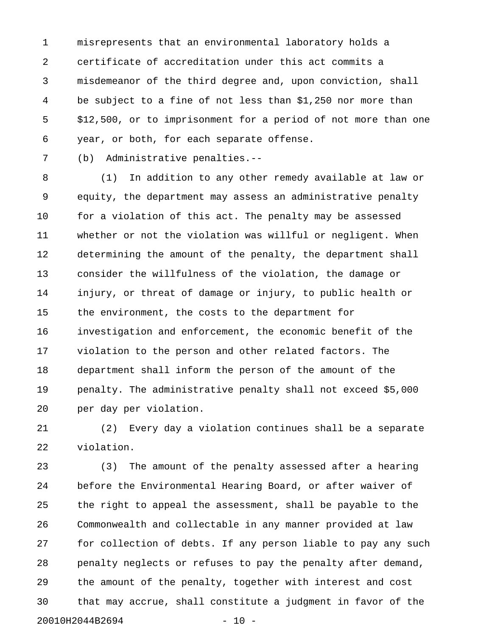1 misrepresents that an environmental laboratory holds a 2 certificate of accreditation under this act commits a 3 misdemeanor of the third degree and, upon conviction, shall 4 be subject to a fine of not less than \$1,250 nor more than 5 \$12,500, or to imprisonment for a period of not more than one 6 year, or both, for each separate offense.

7 (b) Administrative penalties.--

8 (1) In addition to any other remedy available at law or 9 equity, the department may assess an administrative penalty 10 for a violation of this act. The penalty may be assessed 11 whether or not the violation was willful or negligent. When 12 determining the amount of the penalty, the department shall 13 consider the willfulness of the violation, the damage or 14 injury, or threat of damage or injury, to public health or 15 the environment, the costs to the department for 16 investigation and enforcement, the economic benefit of the 17 violation to the person and other related factors. The 18 department shall inform the person of the amount of the 19 penalty. The administrative penalty shall not exceed \$5,000 20 per day per violation.

21 (2) Every day a violation continues shall be a separate 22 violation.

23 (3) The amount of the penalty assessed after a hearing 24 before the Environmental Hearing Board, or after waiver of 25 the right to appeal the assessment, shall be payable to the 26 Commonwealth and collectable in any manner provided at law 27 for collection of debts. If any person liable to pay any such 28 penalty neglects or refuses to pay the penalty after demand, 29 the amount of the penalty, together with interest and cost 30 that may accrue, shall constitute a judgment in favor of the 20010H2044B2694 - 20010H2044B2694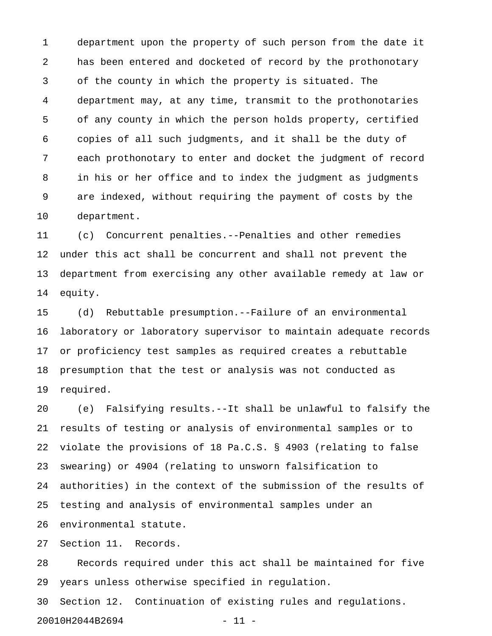1 department upon the property of such person from the date it 2 has been entered and docketed of record by the prothonotary 3 of the county in which the property is situated. The 4 department may, at any time, transmit to the prothonotaries 5 of any county in which the person holds property, certified 6 copies of all such judgments, and it shall be the duty of 7 each prothonotary to enter and docket the judgment of record 8 in his or her office and to index the judgment as judgments 9 are indexed, without requiring the payment of costs by the 10 department.

11 (c) Concurrent penalties.--Penalties and other remedies 12 under this act shall be concurrent and shall not prevent the 13 department from exercising any other available remedy at law or 14 equity.

15 (d) Rebuttable presumption.--Failure of an environmental 16 laboratory or laboratory supervisor to maintain adequate records 17 or proficiency test samples as required creates a rebuttable 18 presumption that the test or analysis was not conducted as 19 required.

20 (e) Falsifying results.--It shall be unlawful to falsify the 21 results of testing or analysis of environmental samples or to 22 violate the provisions of 18 Pa.C.S. § 4903 (relating to false 23 swearing) or 4904 (relating to unsworn falsification to 24 authorities) in the context of the submission of the results of 25 testing and analysis of environmental samples under an 26 environmental statute.

27 Section 11. Records.

28 Records required under this act shall be maintained for five 29 years unless otherwise specified in regulation.

30 Section 12. Continuation of existing rules and regulations. 20010H2044B2694 - 11 -